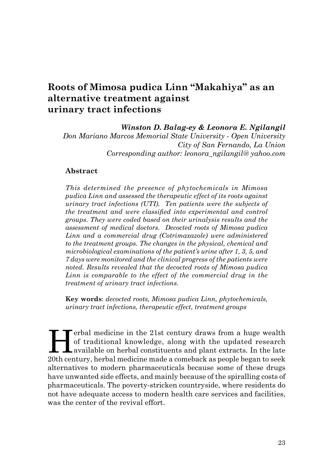# **Roots of Mimosa pudica Linn "Makahiya" as an alternative treatment against urinary tract infections**

*Winston D. Balag-ey & Leonora E. Ngilangil* 

*Don Mariano Marcos Memorial State University - Open University City of San Fernando, La Union Corresponding author: leonora\_ngilangil@ yahoo.com*

### **Abstract**

*This determined the presence of phytochemicals in Mimosa pudica Linn and assessed the therapeutic effect of its roots against urinary tract infections (UTI). Ten patients were the subjects of the treatment and were classified into experimental and control groups. They were coded based on their urinalysis results and the assessment of medical doctors. Decocted roots of Mimosa pudica Linn and a commercial drug (Cotrimaxazole) were administered to the treatment groups. The changes in the physical, chemical and microbiological examinations of the patient's urine after 1, 3, 5, and 7 days were monitored and the clinical progress of the patients were noted. Results revealed that the decocted roots of Mimosa pudica Linn is comparable to the effect of the commercial drug in the treatment of urinary tract infections.*

**Key words**: *decocted roots, Mimosa pudica Linn, phytochemicals, urinary tract infections, therapeutic effect, treatment groups*

Ferbal medicine in the 21st century draws from a huge wealth<br>of traditional knowledge, along with the updated research<br>available on herbal constituents and plant extracts. In the late<br>20th century, berbal medicine mede a s of traditional knowledge, along with the updated research available on herbal constituents and plant extracts. In the late 20th century, herbal medicine made a comeback as people began to seek alternatives to modern pharmaceuticals because some of these drugs have unwanted side effects, and mainly because of the spiralling costs of pharmaceuticals. The poverty-stricken countryside, where residents do not have adequate access to modern health care services and facilities, was the center of the revival effort.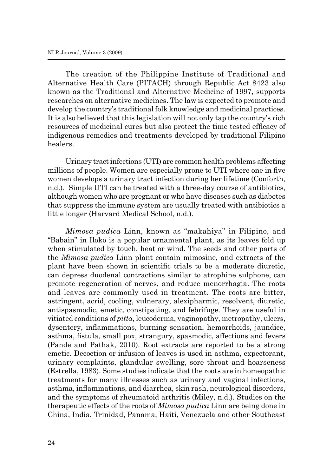The creation of the Philippine Institute of Traditional and Alternative Health Care (PITACH) through Republic Act 8423 also known as the Traditional and Alternative Medicine of 1997, supports researches on alternative medicines. The law is expected to promote and develop the country's traditional folk knowledge and medicinal practices. It is also believed that this legislation will not only tap the country's rich resources of medicinal cures but also protect the time tested efficacy of indigenous remedies and treatments developed by traditional Filipino healers.

Urinary tract infections (UTI) are common health problems affecting millions of people. Women are especially prone to UTI where one in five women develops a urinary tract infection during her lifetime (Conforth, n.d.). Simple UTI can be treated with a three-day course of antibiotics, although women who are pregnant or who have diseases such as diabetes that suppress the immune system are usually treated with antibiotics a little longer (Harvard Medical School, n.d.).

*Mimosa pudica* Linn, known as "makahiya" in Filipino, and "Babain" in Iloko is a popular ornamental plant, as its leaves fold up when stimulated by touch, heat or wind. The seeds and other parts of the *Mimosa pudica* Linn plant contain mimosine, and extracts of the plant have been shown in scientific trials to be a moderate diuretic, can depress duodenal contractions similar to atrophine sulphone, can promote regeneration of nerves, and reduce menorrhagia. The roots and leaves are commonly used in treatment. The roots are bitter, astringent, acrid, cooling, vulnerary, alexipharmic, resolvent, diuretic, antispasmodic, emetic, constipating, and febrifuge. They are useful in vitiated conditions of *pitta*, leucoderma, vaginopathy, metropathy, ulcers, dysentery, inflammations, burning sensation, hemorrhoids, jaundice, asthma, fistula, small pox, strangury, spasmodic, affections and fevers (Pande and Pathak, 2010). Root extracts are reported to be a strong emetic. Decoction or infusion of leaves is used in asthma, expectorant, urinary complaints, glandular swelling, sore throat and hoarseness (Estrella, 1983). Some studies indicate that the roots are in homeopathic treatments for many illnesses such as urinary and vaginal infections, asthma, inflammations, and diarrhea, skin rash, neurological disorders, and the symptoms of rheumatoid arthritis (Miley, n.d.). Studies on the therapeutic effects of the roots of *Mimosa pudica* Linn are being done in China, India, Trinidad, Panama, Haiti, Venezuela and other Southeast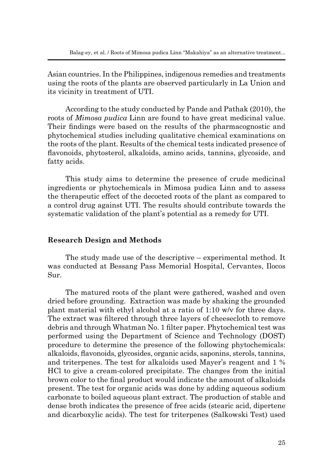Asian countries. In the Philippines, indigenous remedies and treatments using the roots of the plants are observed particularly in La Union and its vicinity in treatment of UTI.

According to the study conducted by Pande and Pathak (2010), the roots of *Mimosa pudica* Linn are found to have great medicinal value. Their findings were based on the results of the pharmacognostic and phytochemical studies including qualitative chemical examinations on the roots of the plant. Results of the chemical tests indicated presence of flavonoids, phytosterol, alkaloids, amino acids, tannins, glycoside, and fatty acids.

This study aims to determine the presence of crude medicinal ingredients or phytochemicals in Mimosa pudica Linn and to assess the therapeutic effect of the decocted roots of the plant as compared to a control drug against UTI. The results should contribute towards the systematic validation of the plant's potential as a remedy for UTI.

### **Research Design and Methods**

The study made use of the descriptive – experimental method. It was conducted at Bessang Pass Memorial Hospital, Cervantes, Ilocos Sur.

The matured roots of the plant were gathered, washed and oven dried before grounding. Extraction was made by shaking the grounded plant material with ethyl alcohol at a ratio of 1:10 w/v for three days. The extract was filtered through three layers of cheesecloth to remove debris and through Whatman No. 1 filter paper. Phytochemical test was performed using the Department of Science and Technology (DOST) procedure to determine the presence of the following phytochemicals: alkaloids, flavonoids, glycosides, organic acids, saponins, sterols, tannins, and triterpenes. The test for alkaloids used Mayer's reagent and 1 % HCl to give a cream-colored precipitate. The changes from the initial brown color to the final product would indicate the amount of alkaloids present. The test for organic acids was done by adding aqueous sodium carbonate to boiled aqueous plant extract. The production of stable and dense broth indicates the presence of free acids (stearic acid, dipertene and dicarboxylic acids). The test for triterpenes (Salkowski Test) used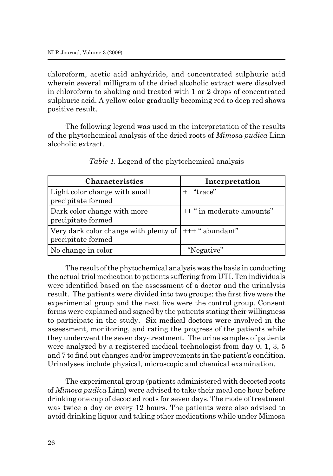chloroform, acetic acid anhydride, and concentrated sulphuric acid wherein several milligram of the dried alcoholic extract were dissolved in chloroform to shaking and treated with 1 or 2 drops of concentrated sulphuric acid. A yellow color gradually becoming red to deep red shows positive result.

The following legend was used in the interpretation of the results of the phytochemical analysis of the dried roots of *Mimosa pudica* Linn alcoholic extract.

| <b>Characteristics</b>                                                       | Interpretation            |
|------------------------------------------------------------------------------|---------------------------|
| Light color change with small<br>precipitate formed                          | "trace"                   |
| Dark color change with more<br>precipitate formed                            | ++ " in moderate amounts" |
| Very dark color change with plenty of $ ++"$ abundant"<br>precipitate formed |                           |
| No change in color                                                           | - "Negative"              |

*Table 1.* Legend of the phytochemical analysis

The result of the phytochemical analysis was the basis in conducting the actual trial medication to patients suffering from UTI. Ten individuals were identified based on the assessment of a doctor and the urinalysis result. The patients were divided into two groups: the first five were the experimental group and the next five were the control group. Consent forms were explained and signed by the patients stating their willingness to participate in the study. Six medical doctors were involved in the assessment, monitoring, and rating the progress of the patients while they underwent the seven day-treatment. The urine samples of patients were analyzed by a registered medical technologist from day 0, 1, 3, 5 and 7 to find out changes and/or improvements in the patient's condition. Urinalyses include physical, microscopic and chemical examination.

The experimental group (patients administered with decocted roots of *Mimosa pudica* Linn) were advised to take their meal one hour before drinking one cup of decocted roots for seven days. The mode of treatment was twice a day or every 12 hours. The patients were also advised to avoid drinking liquor and taking other medications while under Mimosa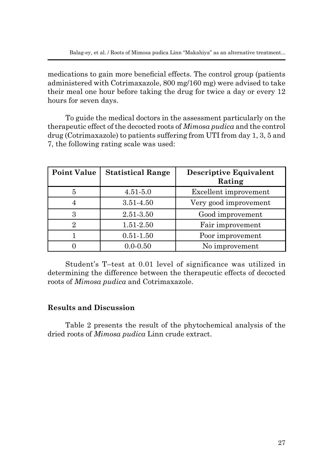medications to gain more beneficial effects. The control group (patients administered with Cotrimaxazole, 800 mg/160 mg) were advised to take their meal one hour before taking the drug for twice a day or every 12 hours for seven days.

To guide the medical doctors in the assessment particularly on the therapeutic effect of the decocted roots of *Mimosa pudica* and the control drug (Cotrimaxazole) to patients suffering from UTI from day 1, 3, 5 and 7, the following rating scale was used:

| <b>Point Value</b> | <b>Statistical Range</b> | <b>Descriptive Equivalent</b><br>Rating |
|--------------------|--------------------------|-----------------------------------------|
| 5                  | $4.51 - 5.0$             | Excellent improvement                   |
| 4                  | $3.51 - 4.50$            | Very good improvement                   |
| 3                  | 2.51-3.50                | Good improvement                        |
| 2                  | 1.51-2.50                | Fair improvement                        |
|                    | $0.51 - 1.50$            | Poor improvement                        |
|                    | $0.0 - 0.50$             | No improvement                          |

Student's T–test at 0.01 level of significance was utilized in determining the difference between the therapeutic effects of decocted roots of *Mimosa pudica* and Cotrimaxazole.

# **Results and Discussion**

Table 2 presents the result of the phytochemical analysis of the dried roots of *Mimosa pudica* Linn crude extract.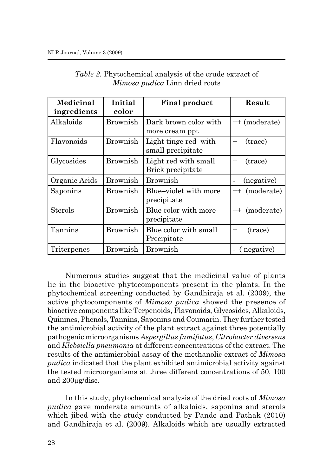| <b>Medicinal</b><br>ingredients | Initial<br>color | <b>Final product</b>                      | Result                                 |
|---------------------------------|------------------|-------------------------------------------|----------------------------------------|
| Alkaloids                       | <b>Brownish</b>  | Dark brown color with<br>more cream ppt   | ++ (moderate)                          |
| Flavonoids                      | Brownish         | Light tinge red with<br>small precipitate | (trace)<br>$+$                         |
| Glycosides                      | Brownish         | Light red with small<br>Brick precipitate | (trace)<br>$+$                         |
| Organic Acids                   | Brownish         | <b>Brownish</b>                           | (negative)                             |
| Saponins                        | Brownish         | Blue-violet with more<br>precipitate      | ++ (moderate)                          |
| <b>Sterols</b>                  | <b>Brownish</b>  | Blue color with more<br>precipitate       | ++ (moderate)                          |
| Tannins                         | <b>Brownish</b>  | Blue color with small<br>Precipitate      | (trace)<br>$+$                         |
| Triterpenes                     | Brownish         | <b>Brownish</b>                           | (negative)<br>$\overline{\phantom{0}}$ |

*Table 2*. Phytochemical analysis of the crude extract of *Mimosa pudica* Linn dried roots

Numerous studies suggest that the medicinal value of plants lie in the bioactive phytocomponents present in the plants. In the phytochemical screening conducted by Gandhiraja et al. (2009), the active phytocomponents of *Mimosa pudica* showed the presence of bioactive components like Terpenoids, Flavonoids, Glycosides, Alkaloids, Quinines, Phenols, Tannins, Saponins and Coumarin. They further tested the antimicrobial activity of the plant extract against three potentially pathogenic microorganisms *Aspergillus fumifatus*, *Citrobacter diversens* and *Klebsiella pneumonia* at different concentrations of the extract. The results of the antimicrobial assay of the methanolic extract of *Mimosa pudica* indicated that the plant exhibited antimicrobial activity against the tested microorganisms at three different concentrations of 50, 100 and 200µg/disc.

In this study, phytochemical analysis of the dried roots of *Mimosa pudica* gave moderate amounts of alkaloids, saponins and sterols which jibed with the study conducted by Pande and Pathak (2010) and Gandhiraja et al. (2009). Alkaloids which are usually extracted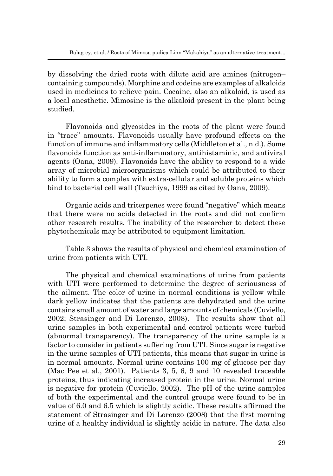by dissolving the dried roots with dilute acid are amines (nitrogen– containing compounds). Morphine and codeine are examples of alkaloids used in medicines to relieve pain. Cocaine, also an alkaloid, is used as a local anesthetic. Mimosine is the alkaloid present in the plant being studied.

Flavonoids and glycosides in the roots of the plant were found in "trace" amounts. Flavonoids usually have profound effects on the function of immune and inflammatory cells (Middleton et al., n.d.). Some flavonoids function as anti-inflammatory, antihistaminic, and antiviral agents (Oana, 2009). Flavonoids have the ability to respond to a wide array of microbial microorganisms which could be attributed to their ability to form a complex with extra-cellular and soluble proteins which bind to bacterial cell wall (Tsuchiya, 1999 as cited by Oana, 2009).

Organic acids and triterpenes were found "negative" which means that there were no acids detected in the roots and did not confirm other research results. The inability of the researcher to detect these phytochemicals may be attributed to equipment limitation.

Table 3 shows the results of physical and chemical examination of urine from patients with UTI.

The physical and chemical examinations of urine from patients with UTI were performed to determine the degree of seriousness of the ailment. The color of urine in normal conditions is yellow while dark yellow indicates that the patients are dehydrated and the urine contains small amount of water and large amounts of chemicals (Cuviello, 2002; Strasinger and Di Lorenzo, 2008). The results show that all urine samples in both experimental and control patients were turbid (abnormal transparency). The transparency of the urine sample is a factor to consider in patients suffering from UTI. Since sugar is negative in the urine samples of UTI patients, this means that sugar in urine is in normal amounts. Normal urine contains 100 mg of glucose per day (Mac Pee et al., 2001). Patients 3, 5, 6, 9 and 10 revealed traceable proteins, thus indicating increased protein in the urine. Normal urine is negative for protein (Cuviello, 2002). The pH of the urine samples of both the experimental and the control groups were found to be in value of 6.0 and 6.5 which is slightly acidic. These results affirmed the statement of Strasinger and Di Lorenzo (2008) that the first morning urine of a healthy individual is slightly acidic in nature. The data also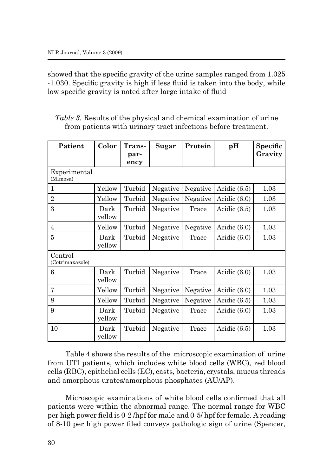showed that the specific gravity of the urine samples ranged from 1.025 -1.030. Specific gravity is high if less fluid is taken into the body, while low specific gravity is noted after large intake of fluid

|  |  | <i>Table 3.</i> Results of the physical and chemical examination of urine |  |  |
|--|--|---------------------------------------------------------------------------|--|--|
|  |  | from patients with urinary tract infections before treatment.             |  |  |

| Patient                    | Color          | Trans-<br>par- | <b>Sugar</b> | Protein  | pH             | Specific<br>Gravity |
|----------------------------|----------------|----------------|--------------|----------|----------------|---------------------|
|                            |                | ency           |              |          |                |                     |
| Experimental<br>(Mimosa)   |                |                |              |          |                |                     |
| $\mathbf{1}$               | Yellow         | Turbid         | Negative     | Negative | Acidic $(6.5)$ | 1.03                |
| $\overline{2}$             | Yellow         | Turbid         | Negative     | Negative | Acidic $(6.0)$ | 1.03                |
| 3                          | Dark<br>yellow | Turbid         | Negative     | Trace    | Acidic $(6.5)$ | 1.03                |
| $\overline{4}$             | Yellow         | Turbid         | Negative     | Negative | Acidic (6.0)   | 1.03                |
| 5                          | Dark<br>yellow | Turbid         | Negative     | Trace    | Acidic $(6.0)$ | 1.03                |
| Control<br>(Cotrimaxazole) |                |                |              |          |                |                     |
| 6                          | Dark<br>yellow | Turbid         | Negative     | Trace    | Acidic $(6.0)$ | 1.03                |
| 7                          | Yellow         | Turbid         | Negative     | Negative | Acidic (6.0)   | 1.03                |
| 8                          | Yellow         | Turbid         | Negative     | Negative | Acidic $(6.5)$ | 1.03                |
| 9                          | Dark<br>yellow | Turbid         | Negative     | Trace    | Acidic $(6.0)$ | 1.03                |
| 10                         | Dark<br>yellow | Turbid         | Negative     | Trace    | Acidic $(6.5)$ | 1.03                |

Table 4 shows the results of the microscopic examination of urine from UTI patients, which includes white blood cells (WBC), red blood cells (RBC), epithelial cells (EC), casts, bacteria, crystals, mucus threads and amorphous urates/amorphous phosphates (AU/AP).

Microscopic examinations of white blood cells confirmed that all patients were within the abnormal range. The normal range for WBC per high power field is 0-2 /hpf for male and 0-5/ hpf for female. A reading of 8-10 per high power filed conveys pathologic sign of urine (Spencer,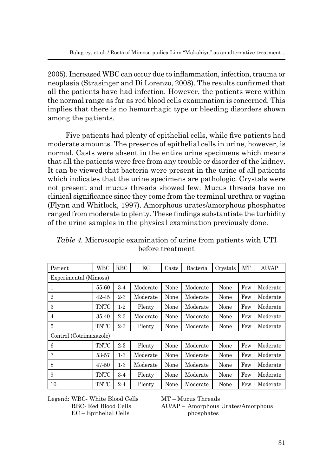2005). Increased WBC can occur due to inflammation, infection, trauma or neoplasia (Strasinger and Di Lorenzo, 2008). The results confirmed that all the patients have had infection. However, the patients were within the normal range as far as red blood cells examination is concerned. This implies that there is no hemorrhagic type or bleeding disorders shown among the patients.

Five patients had plenty of epithelial cells, while five patients had moderate amounts. The presence of epithelial cells in urine, however, is normal. Casts were absent in the entire urine specimens which means that all the patients were free from any trouble or disorder of the kidney. It can be viewed that bacteria were present in the urine of all patients which indicates that the urine specimens are pathologic. Crystals were not present and mucus threads showed few. Mucus threads have no clinical significance since they come from the terminal urethra or vagina (Flynn and Whitlock, 1997). Amorphous urates/amorphous phosphates ranged from moderate to plenty. These findings substantiate the turbidity of the urine samples in the physical examination previously done.

| Patient                 | <b>WBC</b>  | <b>RBC</b> | EC       | Casts | Bacteria | Crystals | MT  | AU/AP    |
|-------------------------|-------------|------------|----------|-------|----------|----------|-----|----------|
| Experimental (Mimosa)   |             |            |          |       |          |          |     |          |
| 1                       | 55-60       | $3-4$      | Moderate | None  | Moderate | None     | Few | Moderate |
| $\overline{2}$          | $42 - 45$   | $2 - 3$    | Moderate | None  | Moderate | None     | Few | Moderate |
| 3                       | <b>TNTC</b> | $1-2$      | Plenty   | None  | Moderate | None     | Few | Moderate |
| 4                       | 35-40       | $2 - 3$    | Moderate | None  | Moderate | None     | Few | Moderate |
| 5                       | <b>TNTC</b> | $2-3$      | Plenty   | None  | Moderate | None     | Few | Moderate |
| Control (Cotrimaxazole) |             |            |          |       |          |          |     |          |
| 6                       | <b>TNTC</b> | $2 - 3$    | Plenty   | None  | Moderate | None     | Few | Moderate |
| 7                       | 53-57       | $1-3$      | Moderate | None  | Moderate | None     | Few | Moderate |
| 8                       | $47 - 50$   | $1-3$      | Moderate | None  | Moderate | None     | Few | Moderate |
| 9                       | <b>TNTC</b> | $3-4$      | Plenty   | None  | Moderate | None     | Few | Moderate |
| 10                      | <b>TNTC</b> | $2 - 4$    | Plenty   | None  | Moderate | None     | Few | Moderate |

*Table 4.* Microscopic examination of urine from patients with UTI before treatment

Legend: WBC- White Blood Cells MT – Mucus Threads EC – Epithelial Cells phosphates

RBC- Red Blood Cells AU/AP – Amorphous Urates/Amorphous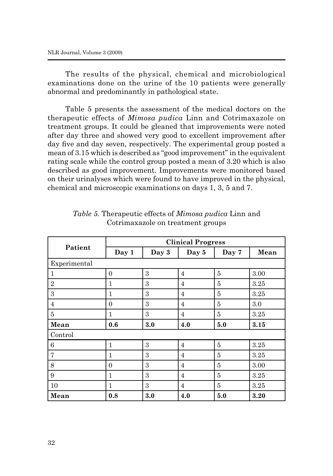The results of the physical, chemical and microbiological examinations done on the urine of the 10 patients were generally abnormal and predominantly in pathological state.

Table 5 presents the assessment of the medical doctors on the therapeutic effects of *Mimosa pudica* Linn and Cotrimaxazole on treatment groups. It could be gleaned that improvements were noted after day three and showed very good to excellent improvement after day five and day seven, respectively. The experimental group posted a mean of 3.15 which is described as "good improvement" in the equivalent rating scale while the control group posted a mean of 3.20 which is also described as good improvement. Improvements were monitored based on their urinalyses which were found to have improved in the physical, chemical and microscopic examinations on days 1, 3, 5 and 7.

|                | <b>Clinical Progress</b> |       |                |                |      |  |  |  |
|----------------|--------------------------|-------|----------------|----------------|------|--|--|--|
| Patient        | Day 1                    | Day 3 | Day 5          | Day 7          | Mean |  |  |  |
| Experimental   |                          |       |                |                |      |  |  |  |
| $\mathbf{1}$   | $\Omega$                 | 3     | $\overline{4}$ | $\overline{5}$ | 3.00 |  |  |  |
| $\overline{2}$ | 1                        | 3     | $\overline{4}$ | 5              | 3.25 |  |  |  |
| 3              | 1                        | 3     | $\overline{4}$ | 5              | 3.25 |  |  |  |
| $\overline{4}$ | $\Omega$                 | 3     | $\overline{4}$ | 5              | 3.0  |  |  |  |
| 5              | 1                        | 3     | $\overline{4}$ | 5              | 3.25 |  |  |  |
| Mean           | 0.6                      | 3.0   | 4.0            | 5.0            | 3.15 |  |  |  |
| Control        |                          |       |                |                |      |  |  |  |
| 6              | $\mathbf{1}$             | 3     | $\overline{4}$ | 5              | 3.25 |  |  |  |
| $\overline{7}$ | 1                        | 3     | $\overline{4}$ | 5              | 3.25 |  |  |  |
| 8              | $\Omega$                 | 3     | $\overline{4}$ | 5              | 3.00 |  |  |  |
| 9              | 1                        | 3     | $\overline{4}$ | 5              | 3.25 |  |  |  |
| 10             | 1                        | 3     | $\overline{4}$ | $\overline{5}$ | 3.25 |  |  |  |
| Mean           | 0.8                      | 3.0   | 4.0            | 5.0            | 3.20 |  |  |  |

*Table 5.* Therapeutic effects of *Mimosa pudica* Linn and Cotrimaxazole on treatment groups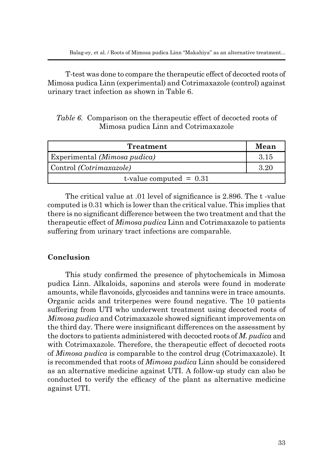T-test was done to compare the therapeutic effect of decocted roots of Mimosa pudica Linn (experimental) and Cotrimaxazole (control) against urinary tract infection as shown in Table 6.

*Table 6.* Comparison on the therapeutic effect of decocted roots of Mimosa pudica Linn and Cotrimaxazole

| <b>Treatment</b>               | Mean |
|--------------------------------|------|
| Experimental (Mimosa pudica)   | 3.15 |
| Control <i>(Cotrimaxazole)</i> | 3.20 |
| t-value computed $= 0.31$      |      |

The critical value at .01 level of significance is 2.896. The t -value computed is 0.31 which is lower than the critical value. This implies that there is no significant difference between the two treatment and that the therapeutic effect of *Mimosa pudica* Linn and Cotrimaxazole to patients suffering from urinary tract infections are comparable.

## **Conclusion**

This study confirmed the presence of phytochemicals in Mimosa pudica Linn. Alkaloids, saponins and sterols were found in moderate amounts, while flavonoids, glycosides and tannins were in trace amounts. Organic acids and triterpenes were found negative. The 10 patients suffering from UTI who underwent treatment using decocted roots of *Mimosa pudica* and Cotrimaxazole showed significant improvements on the third day. There were insignificant differences on the assessment by the doctors to patients administered with decocted roots of *M. pudica* and with Cotrimaxazole. Therefore, the therapeutic effect of decocted roots of *Mimosa pudica* is comparable to the control drug (Cotrimaxazole). It is recommended that roots of *Mimosa pudica* Linn should be considered as an alternative medicine against UTI. A follow-up study can also be conducted to verify the efficacy of the plant as alternative medicine against UTI.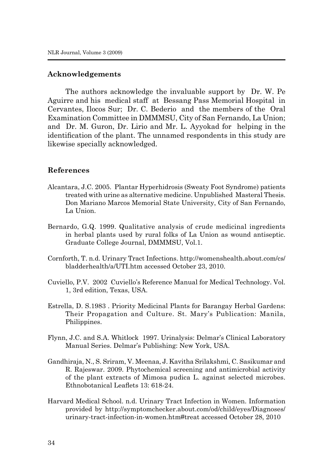### **Acknowledgements**

The authors acknowledge the invaluable support by Dr. W. Pe Aguirre and his medical staff at Bessang Pass Memorial Hospital in Cervantes, Ilocos Sur; Dr. C. Bederio and the members of the Oral Examination Committee in DMMMSU, City of San Fernando, La Union; and Dr. M. Guron, Dr. Lirio and Mr. L. Ayyokad for helping in the identification of the plant. The unnamed respondents in this study are likewise specially acknowledged.

### **References**

- Alcantara, J.C. 2005. Plantar Hyperhidrosis (Sweaty Foot Syndrome) patients treated with urine as alternative medicine. Unpublished Masteral Thesis. Don Mariano Marcos Memorial State University, City of San Fernando, La Union.
- Bernardo, G.Q. 1999. Qualitative analysis of crude medicinal ingredients in herbal plants used by rural folks of La Union as wound antiseptic. Graduate College Journal, DMMMSU, Vol.1.
- Cornforth, T. n.d. Urinary Tract Infections. http://womenshealth.about.com/cs/ bladderhealth/a/UTI.htm accessed October 23, 2010.
- Cuviello, P.V. 2002 Cuviello's Reference Manual for Medical Technology. Vol. 1, 3rd edition, Texas, USA.
- Estrella, D. S.1983 . Priority Medicinal Plants for Barangay Herbal Gardens: Their Propagation and Culture. St. Mary's Publication: Manila, Philippines.
- Flynn, J.C. and S.A. Whitlock 1997. Urinalysis: Delmar's Clinical Laboratory Manual Series. Delmar's Publishing: New York, USA.
- Gandhiraja, N., S. Sriram, V. Meenaa, J. Kavitha Srilakshmi, C. Sasikumar and R. Rajeswar. 2009. Phytochemical screening and antimicrobial activity of the plant extracts of Mimosa pudica L. against selected microbes. Ethnobotanical Leaflets 13: 618-24.
- Harvard Medical School. n.d. Urinary Tract Infection in Women. Information provided by http://symptomchecker.about.com/od/child/eyes/Diagnoses/ urinary-tract-infection-in-women.htm#treat accessed October 28, 2010